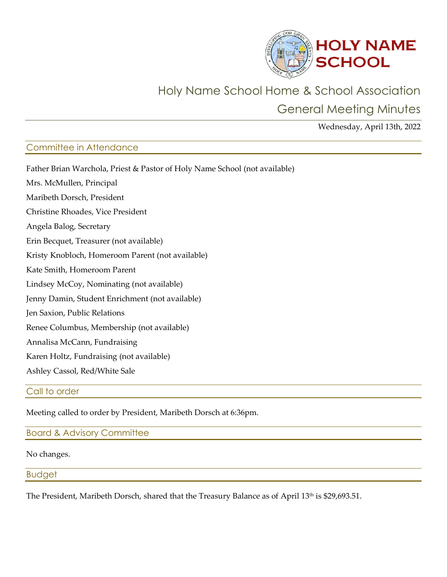

# Holy Name School Home & School Association

General Meeting Minutes

Wednesday, April 13th, 2022

# Committee in Attendance

| Father Brian Warchola, Priest & Pastor of Holy Name School (not available) |
|----------------------------------------------------------------------------|
| Mrs. McMullen, Principal                                                   |
| Maribeth Dorsch, President                                                 |
| Christine Rhoades, Vice President                                          |
| Angela Balog, Secretary                                                    |
| Erin Becquet, Treasurer (not available)                                    |
| Kristy Knobloch, Homeroom Parent (not available)                           |
| Kate Smith, Homeroom Parent                                                |
| Lindsey McCoy, Nominating (not available)                                  |
| Jenny Damin, Student Enrichment (not available)                            |
| Jen Saxion, Public Relations                                               |
| Renee Columbus, Membership (not available)                                 |
| Annalisa McCann, Fundraising                                               |
| Karen Holtz, Fundraising (not available)                                   |
| Ashley Cassol, Red/White Sale                                              |

## Call to order

Meeting called to order by President, Maribeth Dorsch at 6:36pm.

# Board & Advisory Committee

## No changes.

# Budget

The President, Maribeth Dorsch, shared that the Treasury Balance as of April 13<sup>th</sup> is \$29,693.51.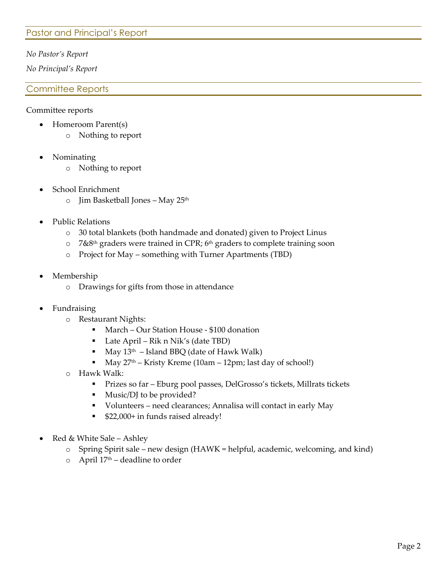## Pastor and Principal's Report

#### *No Pastor's Report*

*No Principal's Report*

#### Committee Reports

#### Committee reports

- Homeroom Parent(s)
	- o Nothing to report
- Nominating
	- o Nothing to report
- School Enrichment
	- o Jim Basketball Jones May 25th
- Public Relations
	- o 30 total blankets (both handmade and donated) given to Project Linus
	- $\circ$  7&8<sup>th</sup> graders were trained in CPR; 6<sup>th</sup> graders to complete training soon
	- o Project for May something with Turner Apartments (TBD)
- Membership
	- o Drawings for gifts from those in attendance
- **Fundraising** 
	- o Restaurant Nights:
		- March Our Station House \$100 donation
		- $\blacksquare$  Late April Rik n Nik's (date TBD)
		- May  $13<sup>th</sup>$  Island BBQ (date of Hawk Walk)
		- May  $27<sup>th</sup>$  Kristy Kreme (10am 12pm; last day of school!)
	- o Hawk Walk:
		- Prizes so far Eburg pool passes, DelGrosso's tickets, Millrats tickets
		- Music/DJ to be provided?
		- Volunteers need clearances; Annalisa will contact in early May
		- \$22,000+ in funds raised already!
- Red & White Sale Ashley
	- $\circ$  Spring Spirit sale new design (HAWK = helpful, academic, welcoming, and kind)
	- $\circ$  April 17<sup>th</sup> deadline to order